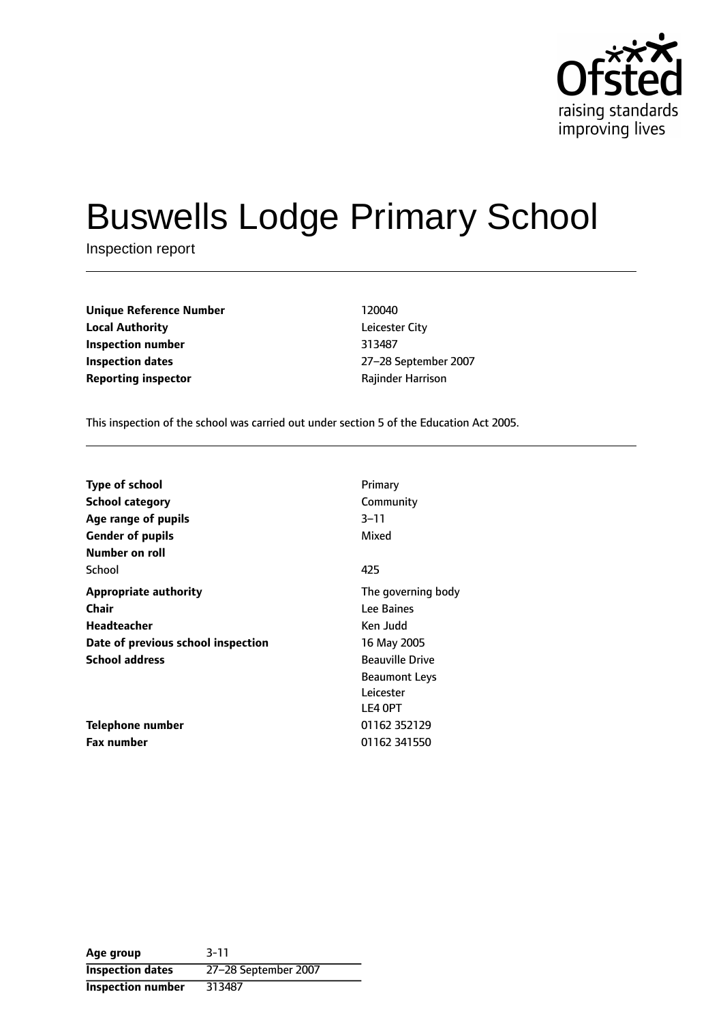

# Buswells Lodge Primary School

Inspection report

| <b>Unique Reference Number</b> | 120040            |
|--------------------------------|-------------------|
| <b>Local Authority</b>         | Leicester City    |
| Inspection number              | 313487            |
| Inspection dates               | 27-28 September   |
| <b>Reporting inspector</b>     | Rajinder Harrison |

**Leicester City Inspection number** 313487 **Inspection dates** 2728 September 2007

This inspection of the school was carried out under section 5 of the Education Act 2005.

| <b>Type of school</b>              | Primary                |
|------------------------------------|------------------------|
| <b>School category</b>             | Community              |
| Age range of pupils                | $3 - 11$               |
| <b>Gender of pupils</b>            | Mixed                  |
| Number on roll                     |                        |
| School                             | 425                    |
| <b>Appropriate authority</b>       | The governing body     |
| <b>Chair</b>                       | Lee Baines             |
| Headteacher                        | Ken Judd               |
| Date of previous school inspection | 16 May 2005            |
| <b>School address</b>              | <b>Beauville Drive</b> |
|                                    | <b>Beaumont Leys</b>   |
|                                    | Leicester              |
|                                    | LE4 OPT                |
| Telephone number                   | 01162 352129           |
| <b>Fax number</b>                  | 01162 341550           |

**Age group** 3-11 **Inspection dates** 27-28 September 2007 **Inspection number** 313487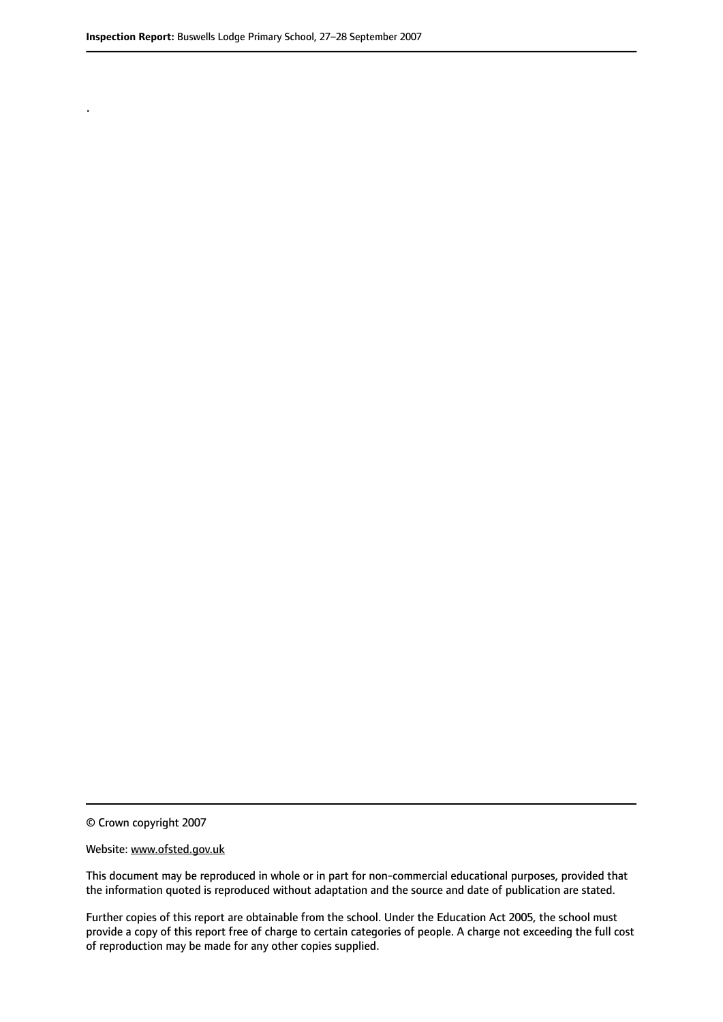.

© Crown copyright 2007

#### Website: www.ofsted.gov.uk

This document may be reproduced in whole or in part for non-commercial educational purposes, provided that the information quoted is reproduced without adaptation and the source and date of publication are stated.

Further copies of this report are obtainable from the school. Under the Education Act 2005, the school must provide a copy of this report free of charge to certain categories of people. A charge not exceeding the full cost of reproduction may be made for any other copies supplied.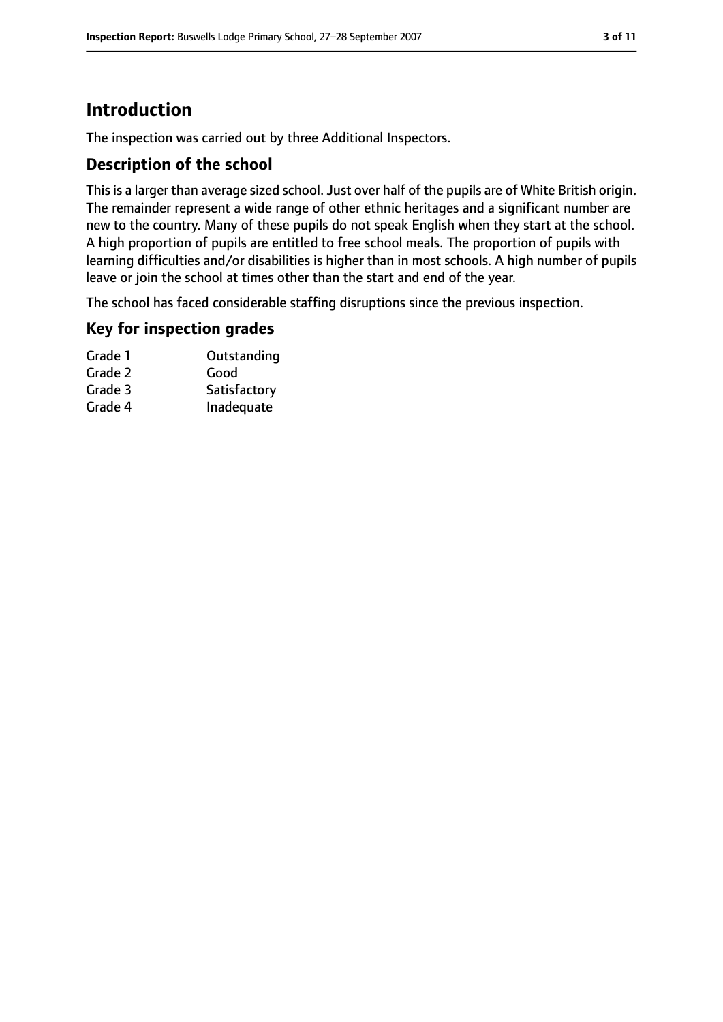# **Introduction**

The inspection was carried out by three Additional Inspectors.

#### **Description of the school**

This is a larger than average sized school. Just over half of the pupils are of White British origin. The remainder represent a wide range of other ethnic heritages and a significant number are new to the country. Many of these pupils do not speak English when they start at the school. A high proportion of pupils are entitled to free school meals. The proportion of pupils with learning difficulties and/or disabilities is higher than in most schools. A high number of pupils leave or join the school at times other than the start and end of the year.

The school has faced considerable staffing disruptions since the previous inspection.

#### **Key for inspection grades**

| Grade 1 | Outstanding  |
|---------|--------------|
| Grade 2 | Good         |
| Grade 3 | Satisfactory |
| Grade 4 | Inadequate   |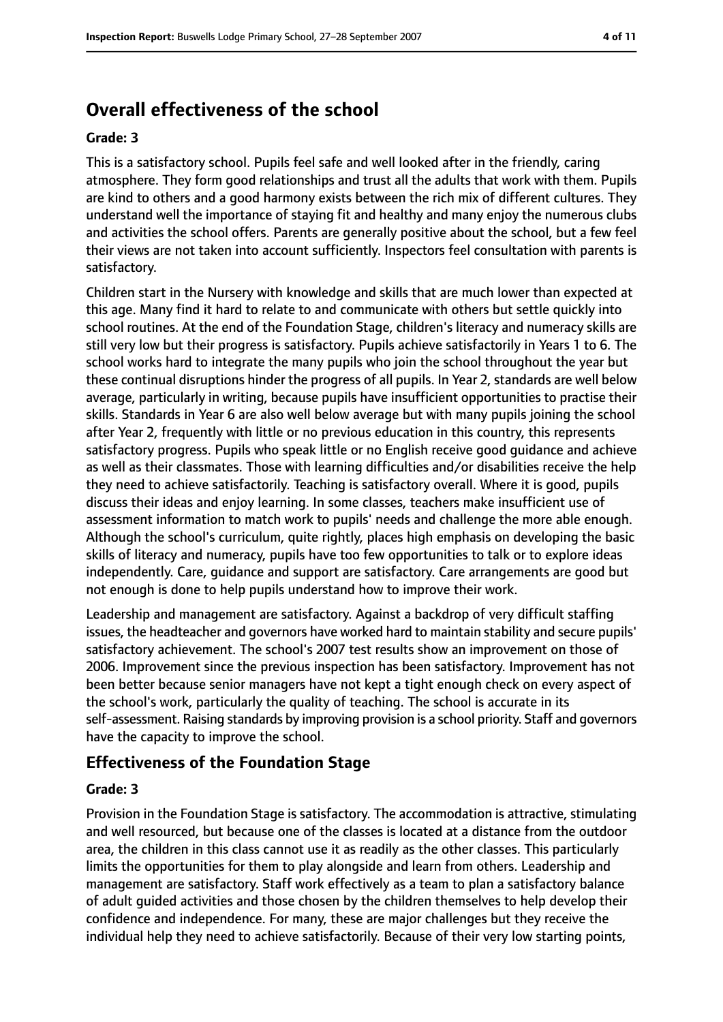# **Overall effectiveness of the school**

#### **Grade: 3**

This is a satisfactory school. Pupils feel safe and well looked after in the friendly, caring atmosphere. They form good relationships and trust all the adults that work with them. Pupils are kind to others and a good harmony exists between the rich mix of different cultures. They understand well the importance of staying fit and healthy and many enjoy the numerous clubs and activities the school offers. Parents are generally positive about the school, but a few feel their views are not taken into account sufficiently. Inspectors feel consultation with parents is satisfactory.

Children start in the Nursery with knowledge and skills that are much lower than expected at this age. Many find it hard to relate to and communicate with others but settle quickly into school routines. At the end of the Foundation Stage, children's literacy and numeracy skills are still very low but their progress is satisfactory. Pupils achieve satisfactorily in Years 1 to 6. The school works hard to integrate the many pupils who join the school throughout the year but these continual disruptions hinder the progress of all pupils. In Year 2, standards are well below average, particularly in writing, because pupils have insufficient opportunities to practise their skills. Standards in Year 6 are also well below average but with many pupils joining the school after Year 2, frequently with little or no previous education in this country, this represents satisfactory progress. Pupils who speak little or no English receive good guidance and achieve as well as their classmates. Those with learning difficulties and/or disabilities receive the help they need to achieve satisfactorily. Teaching is satisfactory overall. Where it is good, pupils discuss their ideas and enjoy learning. In some classes, teachers make insufficient use of assessment information to match work to pupils' needs and challenge the more able enough. Although the school's curriculum, quite rightly, places high emphasis on developing the basic skills of literacy and numeracy, pupils have too few opportunities to talk or to explore ideas independently. Care, guidance and support are satisfactory. Care arrangements are good but not enough is done to help pupils understand how to improve their work.

Leadership and management are satisfactory. Against a backdrop of very difficult staffing issues, the headteacher and governors have worked hard to maintain stability and secure pupils' satisfactory achievement. The school's 2007 test results show an improvement on those of 2006. Improvement since the previous inspection has been satisfactory. Improvement has not been better because senior managers have not kept a tight enough check on every aspect of the school's work, particularly the quality of teaching. The school is accurate in its self-assessment. Raising standards by improving provision is a school priority. Staff and governors have the capacity to improve the school.

#### **Effectiveness of the Foundation Stage**

#### **Grade: 3**

Provision in the Foundation Stage is satisfactory. The accommodation is attractive, stimulating and well resourced, but because one of the classes is located at a distance from the outdoor area, the children in this class cannot use it as readily as the other classes. This particularly limits the opportunities for them to play alongside and learn from others. Leadership and management are satisfactory. Staff work effectively as a team to plan a satisfactory balance of adult guided activities and those chosen by the children themselves to help develop their confidence and independence. For many, these are major challenges but they receive the individual help they need to achieve satisfactorily. Because of their very low starting points,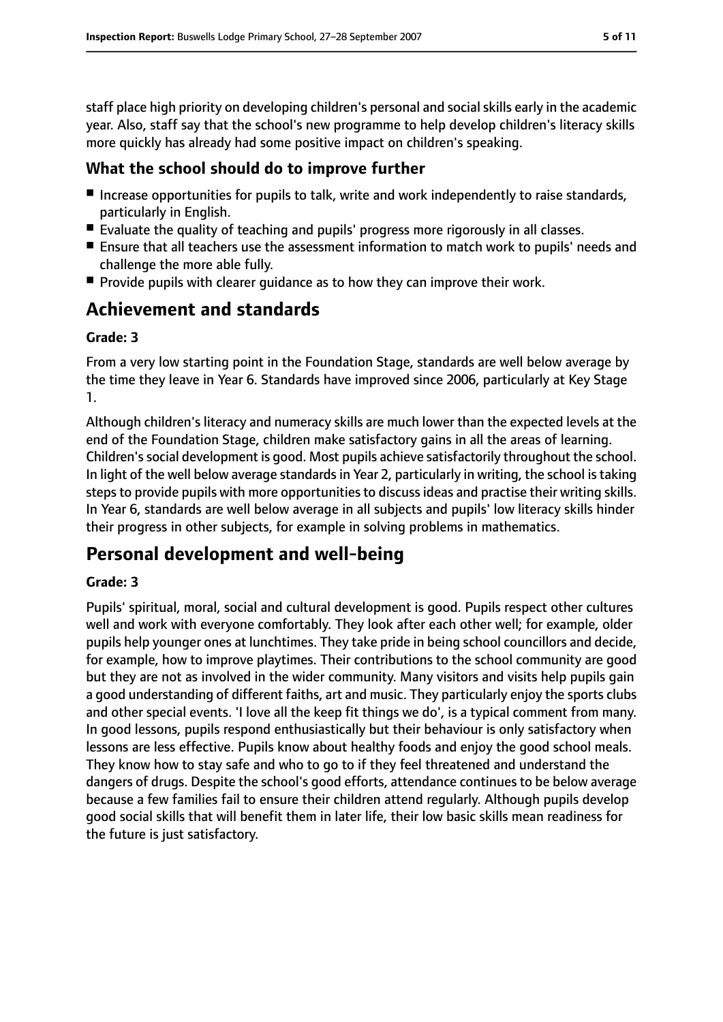staff place high priority on developing children's personal and social skills early in the academic year. Also, staff say that the school's new programme to help develop children's literacy skills more quickly has already had some positive impact on children's speaking.

#### **What the school should do to improve further**

- Increase opportunities for pupils to talk, write and work independently to raise standards, particularly in English.
- Evaluate the quality of teaching and pupils' progress more rigorously in all classes.
- Ensure that all teachers use the assessment information to match work to pupils' needs and challenge the more able fully.
- Provide pupils with clearer quidance as to how they can improve their work.

## **Achievement and standards**

#### **Grade: 3**

From a very low starting point in the Foundation Stage, standards are well below average by the time they leave in Year 6. Standards have improved since 2006, particularly at Key Stage 1.

Although children's literacy and numeracy skills are much lower than the expected levels at the end of the Foundation Stage, children make satisfactory gains in all the areas of learning. Children's social development is good. Most pupils achieve satisfactorily throughout the school. In light of the well below average standards in Year 2, particularly in writing, the school is taking steps to provide pupils with more opportunities to discuss ideas and practise their writing skills. In Year 6, standards are well below average in all subjects and pupils' low literacy skills hinder their progress in other subjects, for example in solving problems in mathematics.

### **Personal development and well-being**

#### **Grade: 3**

Pupils' spiritual, moral, social and cultural development is good. Pupils respect other cultures well and work with everyone comfortably. They look after each other well; for example, older pupils help younger ones at lunchtimes. They take pride in being school councillors and decide, for example, how to improve playtimes. Their contributions to the school community are good but they are not as involved in the wider community. Many visitors and visits help pupils gain a good understanding of different faiths, art and music. They particularly enjoy the sports clubs and other special events. 'I love all the keep fit things we do', is a typical comment from many. In good lessons, pupils respond enthusiastically but their behaviour is only satisfactory when lessons are less effective. Pupils know about healthy foods and enjoy the good school meals. They know how to stay safe and who to go to if they feel threatened and understand the dangers of drugs. Despite the school's good efforts, attendance continues to be below average because a few families fail to ensure their children attend regularly. Although pupils develop good social skills that will benefit them in later life, their low basic skills mean readiness for the future is just satisfactory.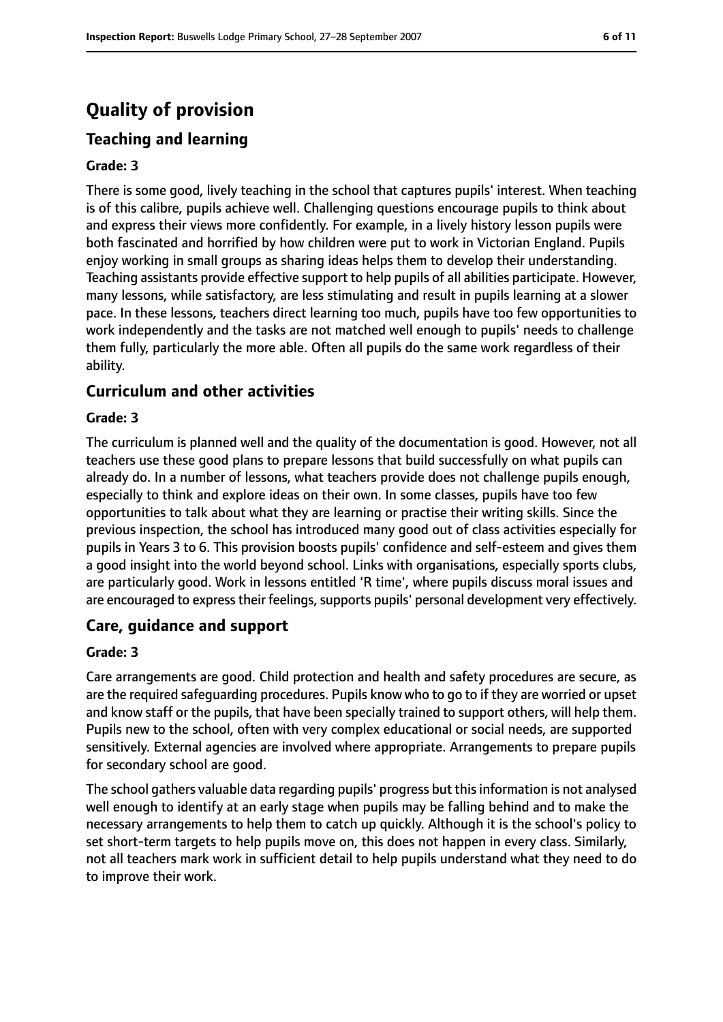# **Quality of provision**

#### **Teaching and learning**

#### **Grade: 3**

There is some good, lively teaching in the school that captures pupils' interest. When teaching is of this calibre, pupils achieve well. Challenging questions encourage pupils to think about and express their views more confidently. For example, in a lively history lesson pupils were both fascinated and horrified by how children were put to work in Victorian England. Pupils enjoy working in small groups as sharing ideas helps them to develop their understanding. Teaching assistants provide effective support to help pupils of all abilities participate. However, many lessons, while satisfactory, are less stimulating and result in pupils learning at a slower pace. In these lessons, teachers direct learning too much, pupils have too few opportunities to work independently and the tasks are not matched well enough to pupils' needs to challenge them fully, particularly the more able. Often all pupils do the same work regardless of their ability.

#### **Curriculum and other activities**

#### **Grade: 3**

The curriculum is planned well and the quality of the documentation is good. However, not all teachers use these good plans to prepare lessons that build successfully on what pupils can already do. In a number of lessons, what teachers provide does not challenge pupils enough, especially to think and explore ideas on their own. In some classes, pupils have too few opportunities to talk about what they are learning or practise their writing skills. Since the previous inspection, the school has introduced many good out of class activities especially for pupils in Years 3 to 6. This provision boosts pupils' confidence and self-esteem and gives them a good insight into the world beyond school. Links with organisations, especially sports clubs, are particularly good. Work in lessons entitled 'R time', where pupils discuss moral issues and are encouraged to express their feelings, supports pupils' personal development very effectively.

#### **Care, guidance and support**

#### **Grade: 3**

Care arrangements are good. Child protection and health and safety procedures are secure, as are the required safeguarding procedures. Pupils know who to go to if they are worried or upset and know staff or the pupils, that have been specially trained to support others, will help them. Pupils new to the school, often with very complex educational or social needs, are supported sensitively. External agencies are involved where appropriate. Arrangements to prepare pupils for secondary school are good.

The school gathers valuable data regarding pupils' progress but this information is not analysed well enough to identify at an early stage when pupils may be falling behind and to make the necessary arrangements to help them to catch up quickly. Although it is the school's policy to set short-term targets to help pupils move on, this does not happen in every class. Similarly, not all teachers mark work in sufficient detail to help pupils understand what they need to do to improve their work.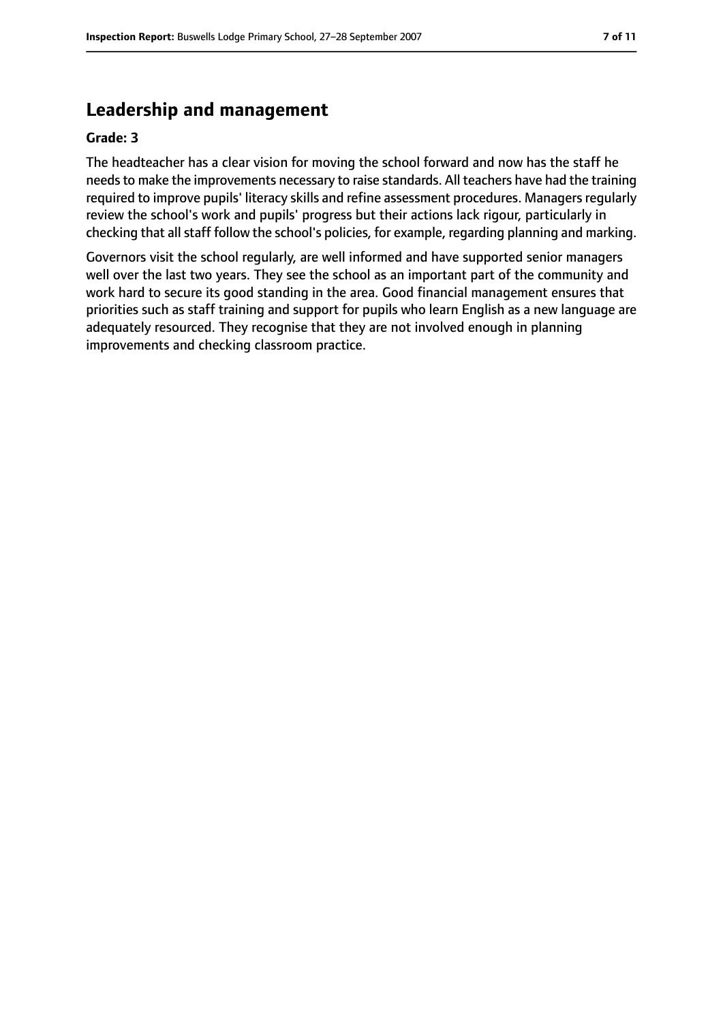# **Leadership and management**

#### **Grade: 3**

The headteacher has a clear vision for moving the school forward and now has the staff he needs to make the improvements necessary to raise standards. All teachers have had the training required to improve pupils' literacy skills and refine assessment procedures. Managers regularly review the school's work and pupils' progress but their actions lack rigour, particularly in checking that all staff follow the school's policies, for example, regarding planning and marking.

Governors visit the school regularly, are well informed and have supported senior managers well over the last two years. They see the school as an important part of the community and work hard to secure its good standing in the area. Good financial management ensures that priorities such as staff training and support for pupils who learn English as a new language are adequately resourced. They recognise that they are not involved enough in planning improvements and checking classroom practice.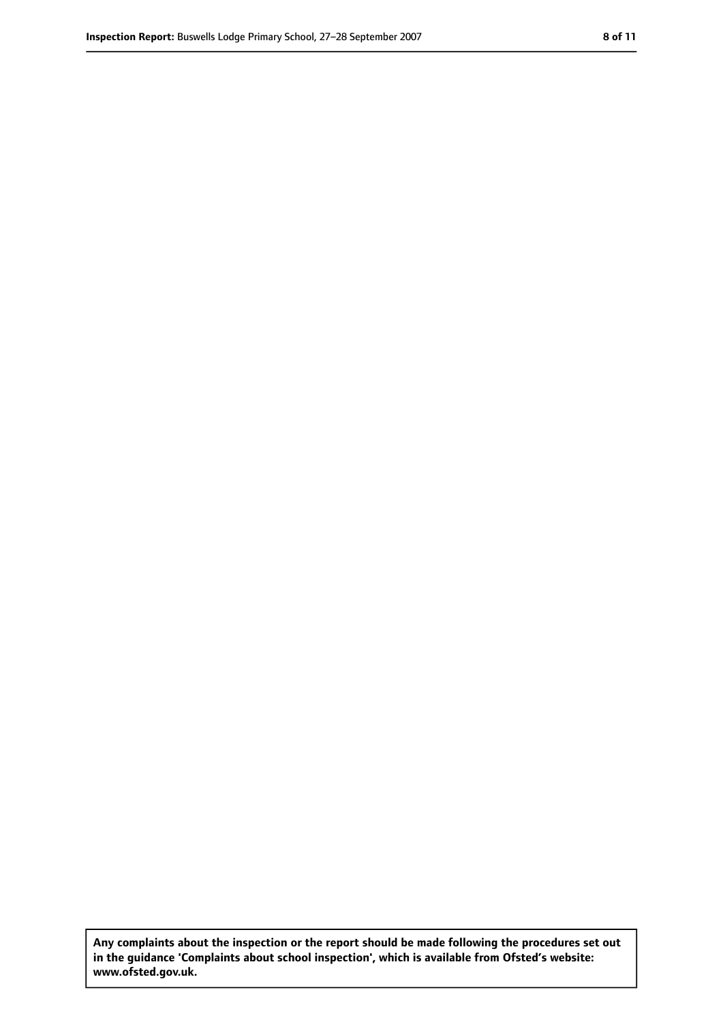**Any complaints about the inspection or the report should be made following the procedures set out in the guidance 'Complaints about school inspection', which is available from Ofsted's website: www.ofsted.gov.uk.**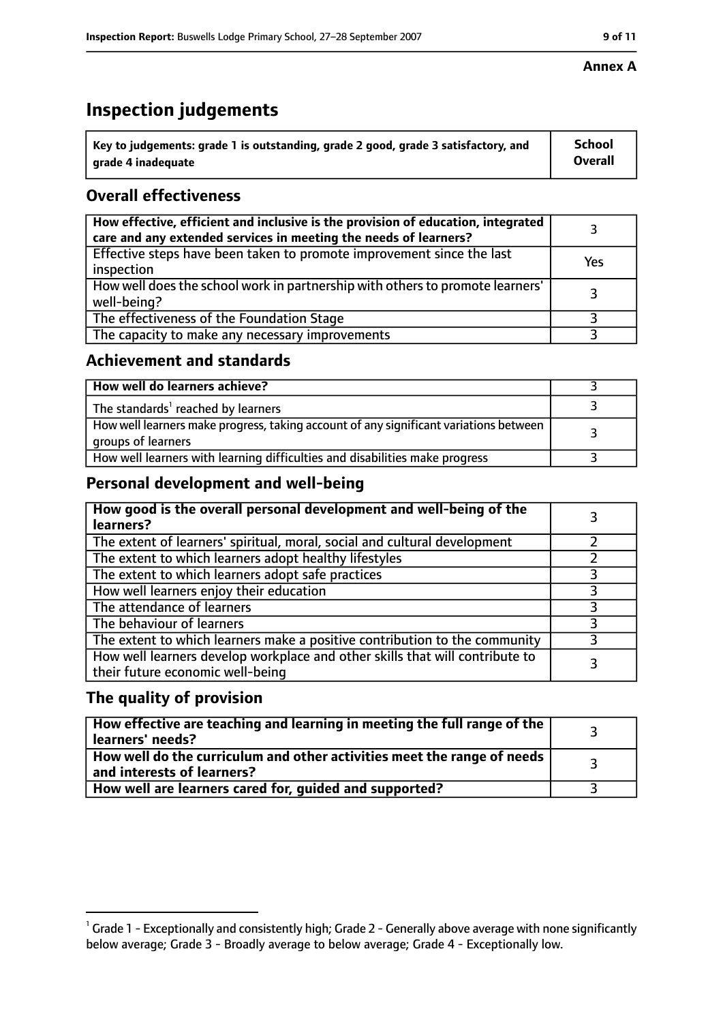# **Inspection judgements**

| $^{\backprime}$ Key to judgements: grade 1 is outstanding, grade 2 good, grade 3 satisfactory, and | School         |
|----------------------------------------------------------------------------------------------------|----------------|
| arade 4 inadeguate                                                                                 | <b>Overall</b> |

#### **Overall effectiveness**

| How effective, efficient and inclusive is the provision of education, integrated<br>care and any extended services in meeting the needs of learners? |     |
|------------------------------------------------------------------------------------------------------------------------------------------------------|-----|
| Effective steps have been taken to promote improvement since the last<br>inspection                                                                  | Yes |
| How well does the school work in partnership with others to promote learners'<br>well-being?                                                         |     |
| The effectiveness of the Foundation Stage                                                                                                            |     |
| The capacity to make any necessary improvements                                                                                                      |     |

#### **Achievement and standards**

| How well do learners achieve?                                                                               |  |
|-------------------------------------------------------------------------------------------------------------|--|
| The standards <sup>1</sup> reached by learners                                                              |  |
| How well learners make progress, taking account of any significant variations between<br>groups of learners |  |
| How well learners with learning difficulties and disabilities make progress                                 |  |

#### **Personal development and well-being**

| How good is the overall personal development and well-being of the<br>learners?                                  |  |
|------------------------------------------------------------------------------------------------------------------|--|
| The extent of learners' spiritual, moral, social and cultural development                                        |  |
| The extent to which learners adopt healthy lifestyles                                                            |  |
| The extent to which learners adopt safe practices                                                                |  |
| How well learners enjoy their education                                                                          |  |
| The attendance of learners                                                                                       |  |
| The behaviour of learners                                                                                        |  |
| The extent to which learners make a positive contribution to the community                                       |  |
| How well learners develop workplace and other skills that will contribute to<br>their future economic well-being |  |

#### **The quality of provision**

| How effective are teaching and learning in meeting the full range of the<br>learners' needs?          |  |
|-------------------------------------------------------------------------------------------------------|--|
| How well do the curriculum and other activities meet the range of needs<br>and interests of learners? |  |
| How well are learners cared for, guided and supported?                                                |  |

 $^1$  Grade 1 - Exceptionally and consistently high; Grade 2 - Generally above average with none significantly below average; Grade 3 - Broadly average to below average; Grade 4 - Exceptionally low.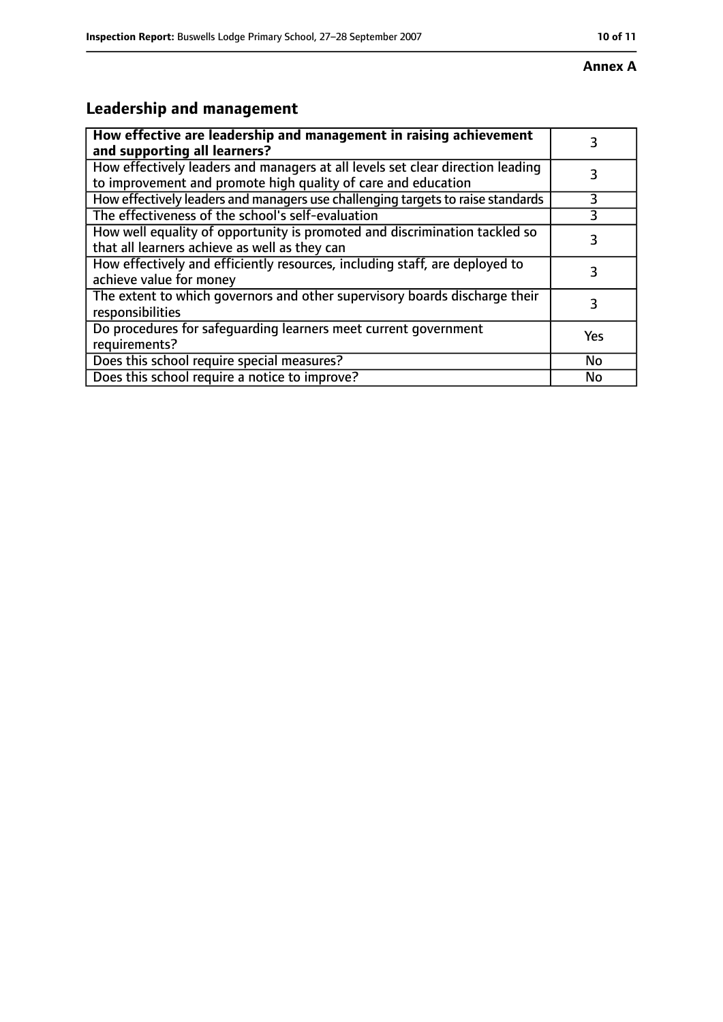#### **Annex A**

# **Leadership and management**

| How effective are leadership and management in raising achievement<br>and supporting all learners?                                              | 3         |
|-------------------------------------------------------------------------------------------------------------------------------------------------|-----------|
| How effectively leaders and managers at all levels set clear direction leading<br>to improvement and promote high quality of care and education |           |
| How effectively leaders and managers use challenging targets to raise standards                                                                 | 3         |
| The effectiveness of the school's self-evaluation                                                                                               |           |
| How well equality of opportunity is promoted and discrimination tackled so<br>that all learners achieve as well as they can                     | 3         |
| How effectively and efficiently resources, including staff, are deployed to<br>achieve value for money                                          | 3         |
| The extent to which governors and other supervisory boards discharge their<br>responsibilities                                                  | 3         |
| Do procedures for safequarding learners meet current government<br>requirements?                                                                | Yes       |
| Does this school require special measures?                                                                                                      | <b>No</b> |
| Does this school require a notice to improve?                                                                                                   | No        |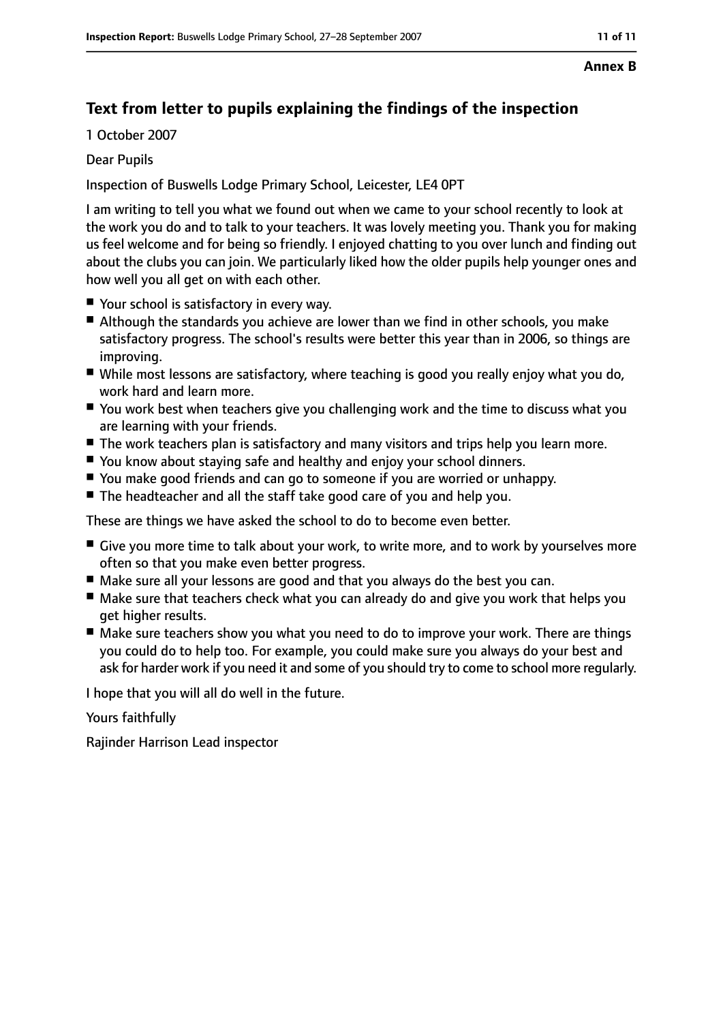#### **Annex B**

### **Text from letter to pupils explaining the findings of the inspection**

1 October 2007

#### Dear Pupils

Inspection of Buswells Lodge Primary School, Leicester, LE4 0PT

I am writing to tell you what we found out when we came to your school recently to look at the work you do and to talk to your teachers. It was lovely meeting you. Thank you for making us feel welcome and for being so friendly. I enjoyed chatting to you over lunch and finding out about the clubs you can join. We particularly liked how the older pupils help younger ones and how well you all get on with each other.

- Your school is satisfactory in every way.
- Although the standards you achieve are lower than we find in other schools, you make satisfactory progress. The school's results were better this year than in 2006, so things are improving.
- While most lessons are satisfactory, where teaching is good you really enjoy what you do, work hard and learn more.
- You work best when teachers give you challenging work and the time to discuss what you are learning with your friends.
- The work teachers plan is satisfactory and many visitors and trips help you learn more.
- You know about staying safe and healthy and enjoy your school dinners.
- You make good friends and can go to someone if you are worried or unhappy.
- The headteacher and all the staff take good care of you and help you.

These are things we have asked the school to do to become even better.

- Give you more time to talk about your work, to write more, and to work by yourselves more often so that you make even better progress.
- Make sure all your lessons are good and that you always do the best you can.
- Make sure that teachers check what you can already do and give you work that helps you get higher results.
- Make sure teachers show you what you need to do to improve your work. There are things you could do to help too. For example, you could make sure you always do your best and ask for harder work if you need it and some of you should try to come to school more regularly.

I hope that you will all do well in the future.

#### Yours faithfully

Rajinder Harrison Lead inspector